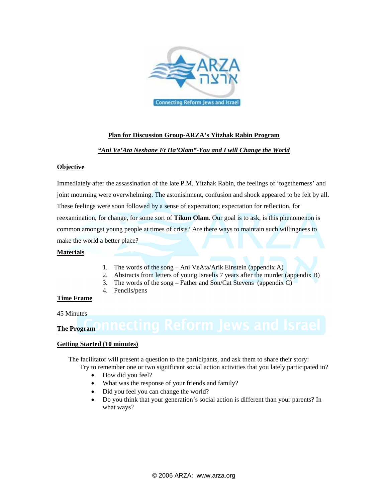

#### **Plan for Discussion Group-ARZA's Yitzhak Rabin Program**

*"Ani Ve'Ata Neshane Et Ha'Olam"-You and I will Change the World*

#### **Objective**

Immediately after the assassination of the late P.M. Yitzhak Rabin, the feelings of 'togetherness' and joint mourning were overwhelming. The astonishment, confusion and shock appeared to be felt by all. These feelings were soon followed by a sense of expectation; expectation for reflection, for reexamination, for change, for some sort of **Tikun Olam**. Our goal is to ask, is this phenomenon is common amongst young people at times of crisis? Are there ways to maintain such willingness to make the world a better place?

#### **Materials**

- 1. The words of the song Ani VeAta/Arik Einstein (appendix A)
- 2. Abstracts from letters of young Israelis 7 years after the murder (appendix B)
- 3. The words of the song Father and Son/Cat Stevens (appendix C)
- 4. Pencils/pens

#### **Time Frame**

45 Minutes

# **The Program**

#### **Getting Started (10 minutes)**

The facilitator will present a question to the participants, and ask them to share their story:

- Try to remember one or two significant social action activities that you lately participated in? • How did you feel?
	- What was the response of your friends and family?
	- Did you feel you can change the world?
	- Do you think that your generation's social action is different than your parents? In what ways?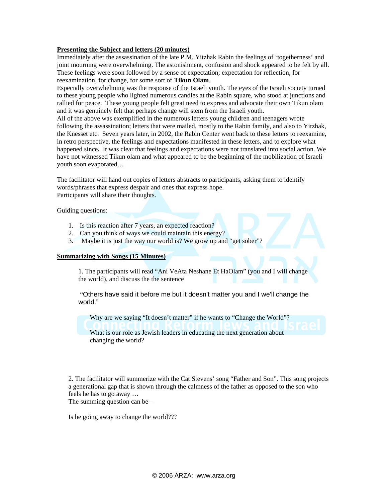#### **Presenting the Subject and letters (20 minutes)**

Immediately after the assassination of the late P.M. Yitzhak Rabin the feelings of 'togetherness' and joint mourning were overwhelming. The astonishment, confusion and shock appeared to be felt by all. These feelings were soon followed by a sense of expectation; expectation for reflection, for reexamination, for change, for some sort of **Tikun Olam**.

Especially overwhelming was the response of the Israeli youth. The eyes of the Israeli society turned to these young people who lighted numerous candles at the Rabin square, who stood at junctions and rallied for peace. These young people felt great need to express and advocate their own Tikun olam and it was genuinely felt that perhaps change will stem from the Israeli youth.

All of the above was exemplified in the numerous letters young children and teenagers wrote following the assassination; letters that were mailed, mostly to the Rabin family, and also to Yitzhak, the Knesset etc. Seven years later, in 2002, the Rabin Center went back to these letters to reexamine, in retro perspective, the feelings and expectations manifested in these letters, and to explore what happened since**.** It was clear that feelings and expectations were not translated into social action. We have not witnessed Tikun olam and what appeared to be the beginning of the mobilization of Israeli youth soon evaporated…

The facilitator will hand out copies of letters abstracts to participants, asking them to identify words/phrases that express despair and ones that express hope. Participants will share their thoughts.

Guiding questions:

- 1. Is this reaction after 7 years, an expected reaction?
- 2. Can you think of ways we could maintain this energy?
- 3. Maybe it is just the way our world is? We grow up and "get sober"?

#### **Summarizing with Songs (15 Minutes)**

1. The participants will read "Ani VeAta Neshane Et HaOlam" (you and I will change the world), and discuss the the sentence

 "Others have said it before me but it doesn't matter you and I we'll change the world."

Why are we saying "It doesn't matter" if he wants to "Change the World"?

What is our role as Jewish leaders in educating the next generation about changing the world?

2. The facilitator will summerize with the Cat Stevens' song "Father and Son". This song projects a generational gap that is shown through the calmness of the father as opposed to the son who feels he has to go away …

The summing question can be –

Is he going away to change the world???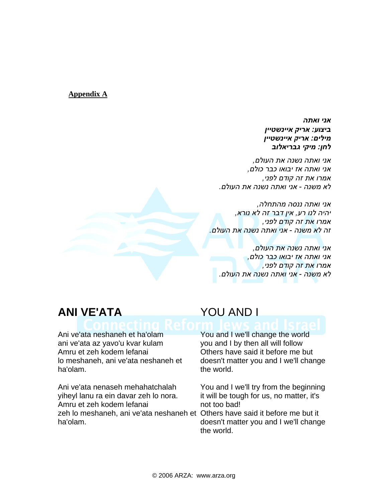### **Appendix A**

*אני ואתה ביצוע: אריק איינשטיין מילים: אריק איינשטיין לחן: מיקי גבריאלוב*

*אני ואתה נשנה את העולם, אני ואתה אז יבואו כבר כולם, אמרו את זה קודם לפני, לא משנה - אני ואתה נשנה את העולם.*

*אני ואתה ננסה מהתחלה, יהיה לנו רע, אין דבר זה לא נורא, אמרו את זה קודם לפני, זה לא משנה - אני ואתה נשנה את העולם.*

*אני ואתה נשנה את העולם, אני ואתה אז יבואו כבר כולם, אמרו את זה קודם לפני, לא משנה - אני ואתה נשנה את העולם.*

## **ANI VE'ATA**

Ani ve'ata neshaneh et ha'olam ani ve'ata az yavo'u kvar kulam Amru et zeh kodem lefanai lo meshaneh, ani ve'ata neshaneh et ha'olam.

Ani ve'ata nenaseh mehahatchalah yiheyl lanu ra ein davar zeh lo nora. Amru et zeh kodem lefanai zeh lo meshaneh, ani ve'ata neshaneh et Others have said it before me but it ha'olam.

## YOU AND I

You and I we'll change the world you and I by then all will follow Others have said it before me but doesn't matter you and I we'll change the world.

You and I we'll try from the beginning it will be tough for us, no matter, it's not too bad!

doesn't matter you and I we'll change the world.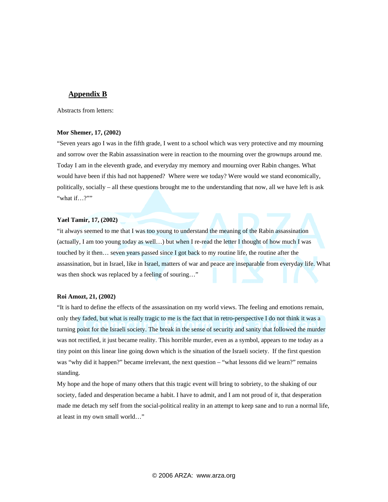### **Appendix B**

Abstracts from letters:

#### **Mor Shemer, 17, (2002)**

"Seven years ago I was in the fifth grade, I went to a school which was very protective and my mourning and sorrow over the Rabin assassination were in reaction to the mourning over the grownups around me. Today I am in the eleventh grade, and everyday my memory and mourning over Rabin changes. What would have been if this had not happened? Where were we today? Were would we stand economically, politically, socially – all these questions brought me to the understanding that now, all we have left is ask "what if...?"

#### **Yael Tamir, 17, (2002)**

"it always seemed to me that I was too young to understand the meaning of the Rabin assassination (actually, I am too young today as well…) but when I re-read the letter I thought of how much I was touched by it then… seven years passed since I got back to my routine life, the routine after the assassination, but in Israel, like in Israel, matters of war and peace are inseparable from everyday life. What was then shock was replaced by a feeling of souring..."

#### **Roi Amozt, 21, (2002)**

"It is hard to define the effects of the assassination on my world views. The feeling and emotions remain, only they faded, but what is really tragic to me is the fact that in retro-perspective I do not think it was a turning point for the Israeli society. The break in the sense of security and sanity that followed the murder was not rectified, it just became reality. This horrible murder, even as a symbol, appears to me today as a tiny point on this linear line going down which is the situation of the Israeli society. If the first question was "why did it happen?" became irrelevant, the next question – "what lessons did we learn?" remains standing.

My hope and the hope of many others that this tragic event will bring to sobriety, to the shaking of our society, faded and desperation became a habit. I have to admit, and I am not proud of it, that desperation made me detach my self from the social-political reality in an attempt to keep sane and to run a normal life, at least in my own small world…"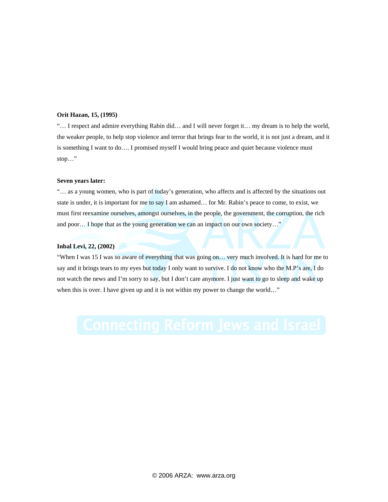#### **Orit Hazan, 15, (1995)**

"… I respect and admire everything Rabin did… and I will never forget it… my dream is to help the world, the weaker people, to help stop violence and terror that brings fear to the world, it is not just a dream, and it is something I want to do…. I promised myself I would bring peace and quiet because violence must stop…"

#### **Seven years later:**

"… as a young women, who is part of today's generation, who affects and is affected by the situations out state is under, it is important for me to say I am ashamed… for Mr. Rabin's peace to come, to exist, we must first reexamine ourselves, amongst ourselves, in the people, the government, the corruption, the rich and poor… I hope that as the young generation we can an impact on our own society…"

#### **Inbal Levi, 22, (2002)**

"When I was 15 I was so aware of everything that was going on… very much involved. It is hard for me to say and it brings tears to my eyes but today I only want to survive. I do not know who the M.P's are, I do not watch the news and I'm sorry to say, but I don't care anymore. I just want to go to sleep and wake up when this is over. I have given up and it is not within my power to change the world..."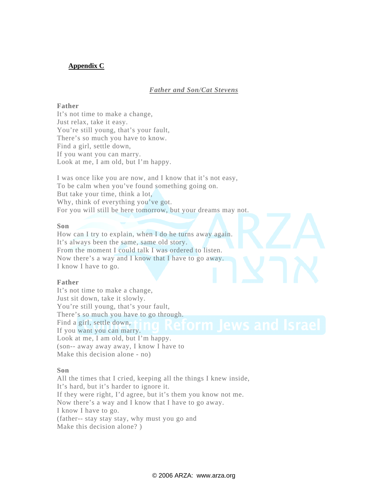#### **Appendix C**

#### *Father and Son/Cat Stevens*

#### **Father**

It's not time to make a change, Just relax, take it easy. You're still young, that's your fault, There's so much you have to know. Find a girl, settle down, If you want you can marry. Look at me, I am old, but I'm happy.

I was once like you are now, and I know that it's not easy, To be calm when you've found something going on. But take your time, think a lot, Why, think of everything you've got. For you will still be here tomorrow, but your dreams may not.

#### **Son**

How can I try to explain, when I do he turns away again. It's always been the same, same old story. From the moment I could talk I was ordered to listen. Now there's a way and I know that I have to go away. I know I have to go.

#### **Father**

It's not time to make a change, Just sit down, take it slowly. You're still young, that's your fault, There's so much you have to go through. Find a girl, settle down, If you want you can marry. Look at me, I am old, but I'm happy. (son-- away away away, I know I have to Make this decision alone - no)

#### **Son**

All the times that I cried, keeping all the things I knew inside, It's hard, but it's harder to ignore it. If they were right, I'd agree, but it's them you know not me. Now there's a way and I know that I have to go away. I know I have to go. (father-- stay stay stay, why must you go and Make this decision alone? )